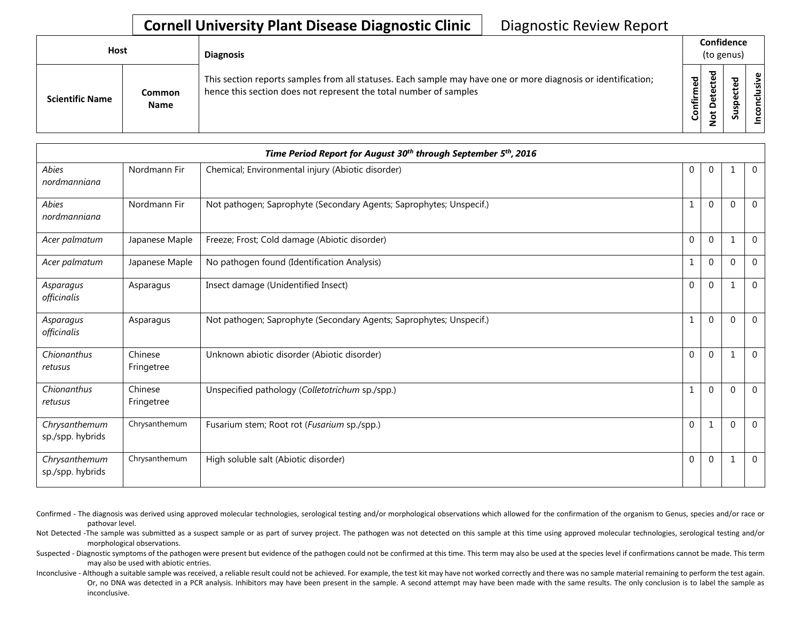## **Cornell University Plant Disease Diagnostic Clinic** | Diagnostic Review Report

| Host                   |                       | <b>Diagnosis</b>                                                                                                                                                                   |                  | Confidence<br>(to genus)        |                   |          |  |  |
|------------------------|-----------------------|------------------------------------------------------------------------------------------------------------------------------------------------------------------------------------|------------------|---------------------------------|-------------------|----------|--|--|
| <b>Scientific Name</b> | Common<br><b>Name</b> | This section reports samples from all statuses. Each sample may have one or more diagnosis or identification;<br>hence this section does not represent the total number of samples | ဥ<br>nfirm<br>ပြ | ᅙ<br>ω<br>ပ<br>Φ<br>Φ<br>پ<br>- | ъ<br>Φ<br>s<br>ഄഁ | ഄ<br>siy |  |  |

|                                   |                       | Time Period Report for August 30 <sup>th</sup> through September 5 <sup>th</sup> , 2016 |              |              |          |                |
|-----------------------------------|-----------------------|-----------------------------------------------------------------------------------------|--------------|--------------|----------|----------------|
| <b>Abies</b><br>nordmanniana      | Nordmann Fir          | Chemical; Environmental injury (Abiotic disorder)                                       | 0            | $\mathbf{0}$ |          | $\mathbf 0$    |
| Abies<br>nordmanniana             | Nordmann Fir          | Not pathogen; Saprophyte (Secondary Agents; Saprophytes; Unspecif.)                     |              | $\Omega$     | $\Omega$ | $\mathbf{0}$   |
| Acer palmatum                     | Japanese Maple        | Freeze; Frost; Cold damage (Abiotic disorder)                                           | $\mathbf{0}$ | $\Omega$     |          | $\Omega$       |
| Acer palmatum                     | Japanese Maple        | No pathogen found (Identification Analysis)                                             | 1            | $\mathbf{0}$ | $\Omega$ | $\mathbf{0}$   |
| Asparagus<br>officinalis          | Asparagus             | Insect damage (Unidentified Insect)                                                     | $\mathbf{0}$ | $\Omega$     | 1        | $\Omega$       |
| Asparagus<br>officinalis          | Asparagus             | Not pathogen; Saprophyte (Secondary Agents; Saprophytes; Unspecif.)                     |              | $\mathbf{0}$ | $\Omega$ | $\Omega$       |
| Chionanthus<br>retusus            | Chinese<br>Fringetree | Unknown abiotic disorder (Abiotic disorder)                                             | $\mathbf{0}$ | $\Omega$     |          | $\mathbf{0}$   |
| Chionanthus<br>retusus            | Chinese<br>Fringetree | Unspecified pathology (Colletotrichum sp./spp.)                                         | $\mathbf{1}$ | $\Omega$     | $\Omega$ | $\overline{0}$ |
| Chrysanthemum<br>sp./spp. hybrids | Chrysanthemum         | Fusarium stem; Root rot (Fusarium sp./spp.)                                             | $\Omega$     | 1            | $\Omega$ | $\mathbf{0}$   |
| Chrysanthemum<br>sp./spp. hybrids | Chrysanthemum         | High soluble salt (Abiotic disorder)                                                    | 0            | $\mathbf{0}$ |          | $\overline{0}$ |

- Confirmed The diagnosis was derived using approved molecular technologies, serological testing and/or morphological observations which allowed for the confirmation of the organism to Genus, species and/or race or pathovar level.
- Not Detected -The sample was submitted as a suspect sample or as part of survey project. The pathogen was not detected on this sample at this time using approved molecular technologies, serological testing and/or morphological observations.
- Suspected Diagnostic symptoms of the pathogen were present but evidence of the pathogen could not be confirmed at this time. This term may also be used at the species level if confirmations cannot be made. This term may also be used with abiotic entries.
- Inconclusive Although a suitable sample was received, a reliable result could not be achieved. For example, the test kit may have not worked correctly and there was no sample material remaining to perform the test again. Or, no DNA was detected in a PCR analysis. Inhibitors may have been present in the sample. A second attempt may have been made with the same results. The only conclusion is to label the sample as inconclusive.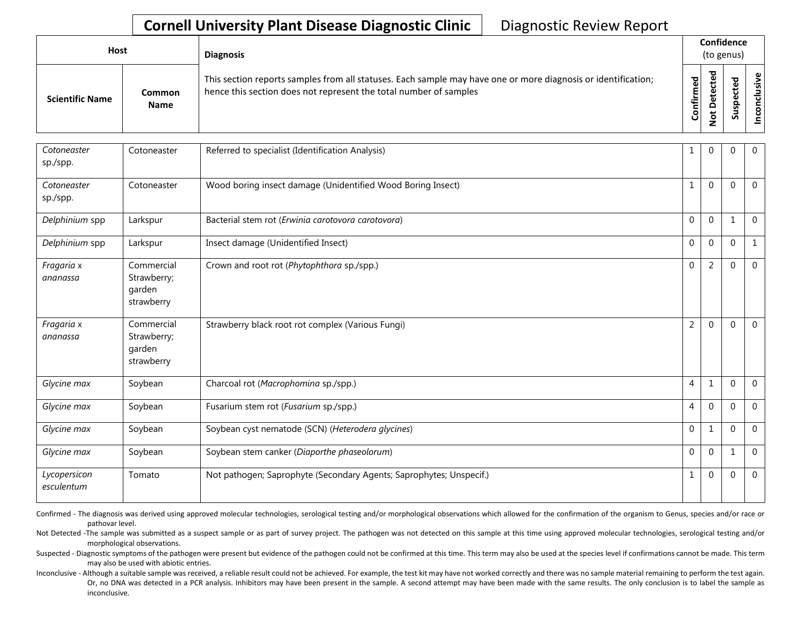## **Cornell University Plant Disease Diagnostic Clinic** | Diagnostic Review Report

| <b>Host</b>            |                       | <b>Diagnosis</b>                                                                                                                                                                   |           | Confidence<br>(to genus)     |   |                 |
|------------------------|-----------------------|------------------------------------------------------------------------------------------------------------------------------------------------------------------------------------|-----------|------------------------------|---|-----------------|
| <b>Scientific Name</b> | Common<br><b>Name</b> | This section reports samples from all statuses. Each sample may have one or more diagnosis or identification;<br>hence this section does not represent the total number of samples | Confirmed | ᇃ<br>Φ<br>سد<br>≏<br>سه<br>- | ທ | Φ<br>usiv<br>᠊ᠣ |

| Cotoneaster<br>sp./spp.    | Cotoneaster                                       | Referred to specialist (Identification Analysis)                    | 1              | $\overline{0}$ | $\Omega$ | $\mathbf 0$    |
|----------------------------|---------------------------------------------------|---------------------------------------------------------------------|----------------|----------------|----------|----------------|
| Cotoneaster<br>sp./spp.    | Cotoneaster                                       | Wood boring insect damage (Unidentified Wood Boring Insect)         | 1              | $\mathbf 0$    | $\Omega$ | $\mathbf 0$    |
| Delphinium spp             | Larkspur                                          | Bacterial stem rot (Erwinia carotovora carotovora)                  | $\mathbf{0}$   | $\mathbf 0$    | 1        | $\overline{0}$ |
| Delphinium spp             | Larkspur                                          | Insect damage (Unidentified Insect)                                 | $\mathbf 0$    | $\mathbf 0$    | $\Omega$ | $\mathbf{1}$   |
| Fragaria x<br>ananassa     | Commercial<br>Strawberry;<br>garden<br>strawberry | Crown and root rot (Phytophthora sp./spp.)                          | $\mathbf 0$    | $\overline{2}$ | $\Omega$ | $\mathbf{0}$   |
| Fragaria x<br>ananassa     | Commercial<br>Strawberry;<br>garden<br>strawberry | Strawberry black root rot complex (Various Fungi)                   | $\overline{2}$ | $\mathbf{0}$   | $\Omega$ | $\overline{0}$ |
| Glycine max                | Soybean                                           | Charcoal rot (Macrophomina sp./spp.)                                | $\overline{4}$ | 1              | $\Omega$ | $\overline{0}$ |
| Glycine max                | Soybean                                           | Fusarium stem rot (Fusarium sp./spp.)                               | 4              | $\mathbf{0}$   | $\Omega$ | $\mathbf 0$    |
| Glycine max                | Soybean                                           | Soybean cyst nematode (SCN) (Heterodera glycines)                   | $\mathbf 0$    | 1              | $\Omega$ | $\overline{0}$ |
| Glycine max                | Soybean                                           | Soybean stem canker (Diaporthe phaseolorum)                         | $\mathbf 0$    | $\mathbf 0$    |          | $\mathbf{0}$   |
| Lycopersicon<br>esculentum | Tomato                                            | Not pathogen; Saprophyte (Secondary Agents; Saprophytes; Unspecif.) | 1              | $\mathbf{0}$   | $\Omega$ | $\mathbf 0$    |

Confirmed - The diagnosis was derived using approved molecular technologies, serological testing and/or morphological observations which allowed for the confirmation of the organism to Genus, species and/or race or pathovar level.

Not Detected -The sample was submitted as a suspect sample or as part of survey project. The pathogen was not detected on this sample at this time using approved molecular technologies, serological testing and/or morphological observations.

Suspected - Diagnostic symptoms of the pathogen were present but evidence of the pathogen could not be confirmed at this time. This term may also be used at the species level if confirmations cannot be made. This term may also be used with abiotic entries.

Inconclusive - Although a suitable sample was received, a reliable result could not be achieved. For example, the test kit may have not worked correctly and there was no sample material remaining to perform the test again. Or, no DNA was detected in a PCR analysis. Inhibitors may have been present in the sample. A second attempt may have been made with the same results. The only conclusion is to label the sample as inconclusive.